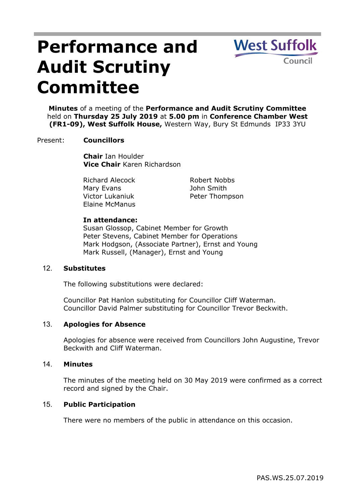# **Performance and Audit Scrutiny Committee**

**West Suffolk** Council

**Minutes** of a meeting of the **Performance and Audit Scrutiny Committee** held on **Thursday 25 July 2019** at **5.00 pm** in **Conference Chamber West (FR1-09), West Suffolk House,** Western Way, Bury St Edmunds IP33 3YU

## Present: **Councillors**

**Chair** Ian Houlder **Vice Chair** Karen Richardson

Richard Alecock Mary Evans Victor Lukaniuk Elaine McManus

Robert Nobbs John Smith Peter Thompson

## **In attendance:**

Susan Glossop, Cabinet Member for Growth Peter Stevens, Cabinet Member for Operations Mark Hodgson, (Associate Partner), Ernst and Young Mark Russell, (Manager), Ernst and Young

## 12. **Substitutes**

The following substitutions were declared:

Councillor Pat Hanlon substituting for Councillor Cliff Waterman. Councillor David Palmer substituting for Councillor Trevor Beckwith.

## 13. **Apologies for Absence**

Apologies for absence were received from Councillors John Augustine, Trevor Beckwith and Cliff Waterman.

#### 14. **Minutes**

The minutes of the meeting held on 30 May 2019 were confirmed as a correct record and signed by the Chair.

## 15. **Public Participation**

There were no members of the public in attendance on this occasion.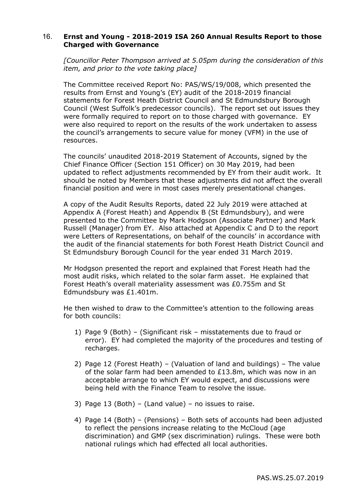# 16. **Ernst and Young - 2018-2019 ISA 260 Annual Results Report to those Charged with Governance**

*[Councillor Peter Thompson arrived at 5.05pm during the consideration of this item, and prior to the vote taking place]*

The Committee received Report No: PAS/WS/19/008, which presented the results from Ernst and Young's (EY) audit of the 2018-2019 financial statements for Forest Heath District Council and St Edmundsbury Borough Council (West Suffolk's predecessor councils). The report set out issues they were formally required to report on to those charged with governance. EY were also required to report on the results of the work undertaken to assess the council's arrangements to secure value for money (VFM) in the use of resources.

The councils' unaudited 2018-2019 Statement of Accounts, signed by the Chief Finance Officer (Section 151 Officer) on 30 May 2019, had been updated to reflect adjustments recommended by EY from their audit work. It should be noted by Members that these adjustments did not affect the overall financial position and were in most cases merely presentational changes.

A copy of the Audit Results Reports, dated 22 July 2019 were attached at Appendix A (Forest Heath) and Appendix B (St Edmundsbury), and were presented to the Committee by Mark Hodgson (Associate Partner) and Mark Russell (Manager) from EY. Also attached at Appendix C and D to the report were Letters of Representations, on behalf of the councils' in accordance with the audit of the financial statements for both Forest Heath District Council and St Edmundsbury Borough Council for the year ended 31 March 2019.

Mr Hodgson presented the report and explained that Forest Heath had the most audit risks, which related to the solar farm asset. He explained that Forest Heath's overall materiality assessment was £0.755m and St Edmundsbury was £1.401m.

He then wished to draw to the Committee's attention to the following areas for both councils:

- 1) Page 9 (Both) (Significant risk misstatements due to fraud or error). EY had completed the majority of the procedures and testing of recharges.
- 2) Page 12 (Forest Heath) (Valuation of land and buildings) The value of the solar farm had been amended to  $£13.8m$ , which was now in an acceptable arrange to which EY would expect, and discussions were being held with the Finance Team to resolve the issue.
- 3) Page 13 (Both) (Land value) no issues to raise.
- 4) Page 14 (Both) (Pensions) Both sets of accounts had been adjusted to reflect the pensions increase relating to the McCloud (age discrimination) and GMP (sex discrimination) rulings. These were both national rulings which had effected all local authorities.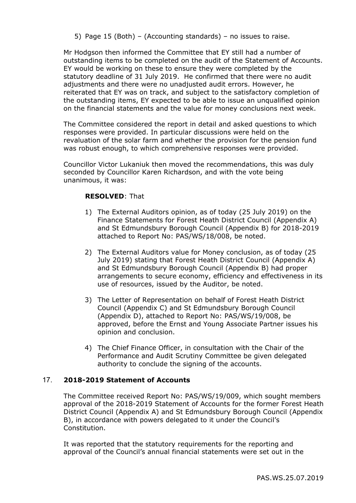5) Page 15 (Both) – (Accounting standards) – no issues to raise.

Mr Hodgson then informed the Committee that EY still had a number of outstanding items to be completed on the audit of the Statement of Accounts. EY would be working on these to ensure they were completed by the statutory deadline of 31 July 2019. He confirmed that there were no audit adjustments and there were no unadjusted audit errors. However, he reiterated that EY was on track, and subject to the satisfactory completion of the outstanding items, EY expected to be able to issue an unqualified opinion on the financial statements and the value for money conclusions next week.

The Committee considered the report in detail and asked questions to which responses were provided. In particular discussions were held on the revaluation of the solar farm and whether the provision for the pension fund was robust enough, to which comprehensive responses were provided.

Councillor Victor Lukaniuk then moved the recommendations, this was duly seconded by Councillor Karen Richardson, and with the vote being unanimous, it was:

## **RESOLVED**: That

- 1) The External Auditors opinion, as of today (25 July 2019) on the Finance Statements for Forest Heath District Council (Appendix A) and St Edmundsbury Borough Council (Appendix B) for 2018-2019 attached to Report No: PAS/WS/18/008, be noted.
- 2) The External Auditors value for Money conclusion, as of today (25 July 2019) stating that Forest Heath District Council (Appendix A) and St Edmundsbury Borough Council (Appendix B) had proper arrangements to secure economy, efficiency and effectiveness in its use of resources, issued by the Auditor, be noted.
- 3) The Letter of Representation on behalf of Forest Heath District Council (Appendix C) and St Edmundsbury Borough Council (Appendix D), attached to Report No: PAS/WS/19/008, be approved, before the Ernst and Young Associate Partner issues his opinion and conclusion.
- 4) The Chief Finance Officer, in consultation with the Chair of the Performance and Audit Scrutiny Committee be given delegated authority to conclude the signing of the accounts.

#### 17. **2018-2019 Statement of Accounts**

The Committee received Report No: PAS/WS/19/009, which sought members approval of the 2018-2019 Statement of Accounts for the former Forest Heath District Council (Appendix A) and St Edmundsbury Borough Council (Appendix B), in accordance with powers delegated to it under the Council's Constitution.

It was reported that the statutory requirements for the reporting and approval of the Council's annual financial statements were set out in the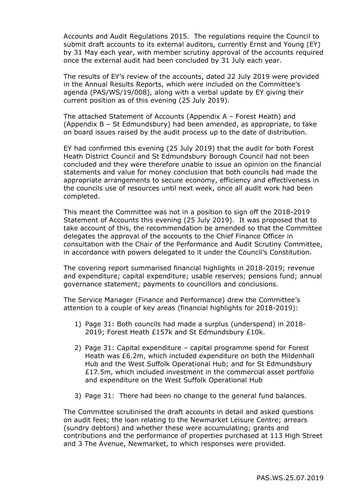Accounts and Audit Regulations 2015. The regulations require the Council to submit draft accounts to its external auditors, currently Ernst and Young (EY) by 31 May each year, with member scrutiny approval of the accounts required once the external audit had been concluded by 31 July each year.

The results of EY's review of the accounts, dated 22 July 2019 were provided in the Annual Results Reports, which were included on the Committee's agenda (PAS/WS/19/008), along with a verbal update by EY giving their current position as of this evening (25 July 2019).

The attached Statement of Accounts (Appendix A – Forest Heath) and (Appendix B – St Edmundsbury) had been amended, as appropriate, to take on board issues raised by the audit process up to the date of distribution.

EY had confirmed this evening (25 July 2019) that the audit for both Forest Heath District Council and St Edmundsbury Borough Council had not been concluded and they were therefore unable to issue an opinion on the financial statements and value for money conclusion that both councils had made the appropriate arrangements to secure economy, efficiency and effectiveness in the councils use of resources until next week, once all audit work had been completed.

This meant the Committee was not in a position to sign off the 2018-2019 Statement of Accounts this evening (25 July 2019). It was proposed that to take account of this, the recommendation be amended so that the Committee delegates the approval of the accounts to the Chief Finance Officer in consultation with the Chair of the Performance and Audit Scrutiny Committee, in accordance with powers delegated to it under the Council's Constitution.

The covering report summarised financial highlights in 2018-2019; revenue and expenditure; capital expenditure; usable reserves; pensions fund; annual governance statement; payments to councillors and conclusions.

The Service Manager (Finance and Performance) drew the Committee's attention to a couple of key areas (financial highlights for 2018-2019):

- 1) Page 31: Both councils had made a surplus (underspend) in 2018- 2019; Forest Heath £157k and St Edmundsbury £10k.
- 2) Page 31: Capital expenditure capital programme spend for Forest Heath was £6.2m, which included expenditure on both the Mildenhall Hub and the West Suffolk Operational Hub; and for St Edmundsbury £17.5m, which included investment in the commercial asset portfolio and expenditure on the West Suffolk Operational Hub
- 3) Page 31: There had been no change to the general fund balances.

The Committee scrutinised the draft accounts in detail and asked questions on audit fees; the loan relating to the Newmarket Leisure Centre; arrears (sundry debtors) and whether these were accumulating; grants and contributions and the performance of properties purchased at 113 High Street and 3 The Avenue, Newmarket, to which responses were provided.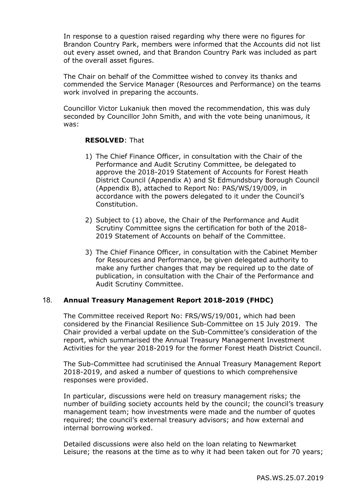In response to a question raised regarding why there were no figures for Brandon Country Park, members were informed that the Accounts did not list out every asset owned, and that Brandon Country Park was included as part of the overall asset figures.

The Chair on behalf of the Committee wished to convey its thanks and commended the Service Manager (Resources and Performance) on the teams work involved in preparing the accounts.

Councillor Victor Lukaniuk then moved the recommendation, this was duly seconded by Councillor John Smith, and with the vote being unanimous, it was:

## **RESOLVED**: That

- 1) The Chief Finance Officer, in consultation with the Chair of the Performance and Audit Scrutiny Committee, be delegated to approve the 2018-2019 Statement of Accounts for Forest Heath District Council (Appendix A) and St Edmundsbury Borough Council (Appendix B), attached to Report No: PAS/WS/19/009, in accordance with the powers delegated to it under the Council's Constitution.
- 2) Subject to (1) above, the Chair of the Performance and Audit Scrutiny Committee signs the certification for both of the 2018- 2019 Statement of Accounts on behalf of the Committee.
- 3) The Chief Finance Officer, in consultation with the Cabinet Member for Resources and Performance, be given delegated authority to make any further changes that may be required up to the date of publication, in consultation with the Chair of the Performance and Audit Scrutiny Committee.

## 18. **Annual Treasury Management Report 2018-2019 (FHDC)**

The Committee received Report No: FRS/WS/19/001, which had been considered by the Financial Resilience Sub-Committee on 15 July 2019. The Chair provided a verbal update on the Sub-Committee's consideration of the report, which summarised the Annual Treasury Management Investment Activities for the year 2018-2019 for the former Forest Heath District Council.

The Sub-Committee had scrutinised the Annual Treasury Management Report 2018-2019, and asked a number of questions to which comprehensive responses were provided.

In particular, discussions were held on treasury management risks; the number of building society accounts held by the council; the council's treasury management team; how investments were made and the number of quotes required; the council's external treasury advisors; and how external and internal borrowing worked.

Detailed discussions were also held on the loan relating to Newmarket Leisure; the reasons at the time as to why it had been taken out for 70 years;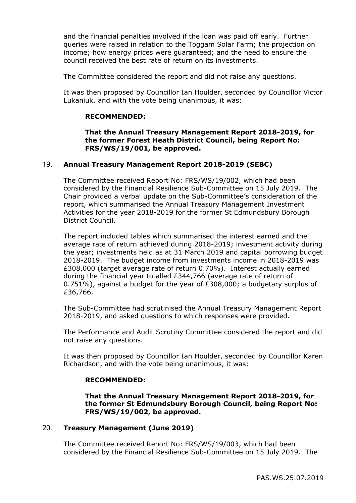and the financial penalties involved if the loan was paid off early. Further queries were raised in relation to the Toggam Solar Farm; the projection on income; how energy prices were guaranteed; and the need to ensure the council received the best rate of return on its investments.

The Committee considered the report and did not raise any questions.

It was then proposed by Councillor Ian Houlder, seconded by Councillor Victor Lukaniuk, and with the vote being unanimous, it was:

## **RECOMMENDED:**

**That the Annual Treasury Management Report 2018-2019, for the former Forest Heath District Council, being Report No: FRS/WS/19/001, be approved.**

## 19. **Annual Treasury Management Report 2018-2019 (SEBC)**

The Committee received Report No: FRS/WS/19/002, which had been considered by the Financial Resilience Sub-Committee on 15 July 2019. The Chair provided a verbal update on the Sub-Committee's consideration of the report, which summarised the Annual Treasury Management Investment Activities for the year 2018-2019 for the former St Edmundsbury Borough District Council.

The report included tables which summarised the interest earned and the average rate of return achieved during 2018-2019; investment activity during the year; investments held as at 31 March 2019 and capital borrowing budget 2018-2019. The budget income from investments income in 2018-2019 was £308,000 (target average rate of return 0.70%). Interest actually earned during the financial year totalled £344,766 (average rate of return of 0.751%), against a budget for the year of £308,000; a budgetary surplus of £36,766.

The Sub-Committee had scrutinised the Annual Treasury Management Report 2018-2019, and asked questions to which responses were provided.

The Performance and Audit Scrutiny Committee considered the report and did not raise any questions.

It was then proposed by Councillor Ian Houlder, seconded by Councillor Karen Richardson, and with the vote being unanimous, it was:

#### **RECOMMENDED:**

**That the Annual Treasury Management Report 2018-2019, for the former St Edmundsbury Borough Council, being Report No: FRS/WS/19/002, be approved.**

#### 20. **Treasury Management (June 2019)**

The Committee received Report No: FRS/WS/19/003, which had been considered by the Financial Resilience Sub-Committee on 15 July 2019. The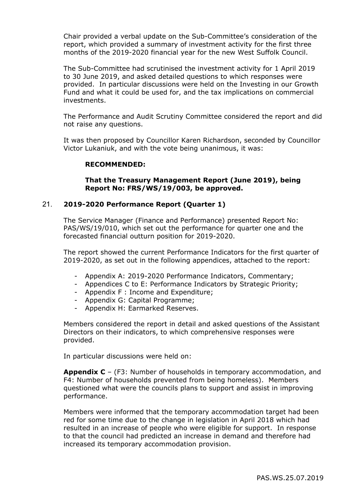Chair provided a verbal update on the Sub-Committee's consideration of the report, which provided a summary of investment activity for the first three months of the 2019-2020 financial year for the new West Suffolk Council.

The Sub-Committee had scrutinised the investment activity for 1 April 2019 to 30 June 2019, and asked detailed questions to which responses were provided. In particular discussions were held on the Investing in our Growth Fund and what it could be used for, and the tax implications on commercial investments.

The Performance and Audit Scrutiny Committee considered the report and did not raise any questions.

It was then proposed by Councillor Karen Richardson, seconded by Councillor Victor Lukaniuk, and with the vote being unanimous, it was:

## **RECOMMENDED:**

## **That the Treasury Management Report (June 2019), being Report No: FRS/WS/19/003, be approved.**

## 21. **2019-2020 Performance Report (Quarter 1)**

The Service Manager (Finance and Performance) presented Report No: PAS/WS/19/010, which set out the performance for quarter one and the forecasted financial outturn position for 2019-2020.

The report showed the current Performance Indicators for the first quarter of 2019-2020, as set out in the following appendices, attached to the report:

- Appendix A: 2019-2020 Performance Indicators, Commentary;
- Appendices C to E: Performance Indicators by Strategic Priority;
- Appendix F : Income and Expenditure;
- Appendix G: Capital Programme;
- Appendix H: Earmarked Reserves.

Members considered the report in detail and asked questions of the Assistant Directors on their indicators, to which comprehensive responses were provided.

In particular discussions were held on:

**Appendix C** – (F3: Number of households in temporary accommodation, and F4: Number of households prevented from being homeless). Members questioned what were the councils plans to support and assist in improving performance.

Members were informed that the temporary accommodation target had been red for some time due to the change in legislation in April 2018 which had resulted in an increase of people who were eligible for support. In response to that the council had predicted an increase in demand and therefore had increased its temporary accommodation provision.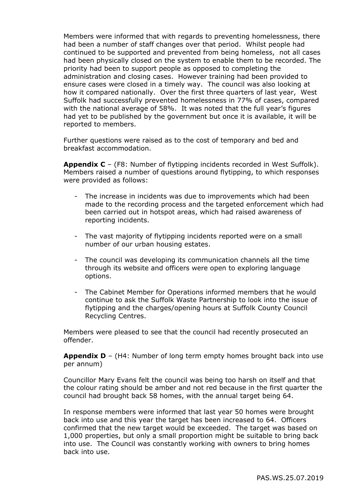Members were informed that with regards to preventing homelessness, there had been a number of staff changes over that period. Whilst people had continued to be supported and prevented from being homeless, not all cases had been physically closed on the system to enable them to be recorded. The priority had been to support people as opposed to completing the administration and closing cases. However training had been provided to ensure cases were closed in a timely way. The council was also looking at how it compared nationally. Over the first three quarters of last year, West Suffolk had successfully prevented homelessness in 77% of cases, compared with the national average of 58%. It was noted that the full year's figures had yet to be published by the government but once it is available, it will be reported to members.

Further questions were raised as to the cost of temporary and bed and breakfast accommodation.

**Appendix C** – (F8: Number of flytipping incidents recorded in West Suffolk). Members raised a number of questions around flytipping, to which responses were provided as follows:

- The increase in incidents was due to improvements which had been made to the recording process and the targeted enforcement which had been carried out in hotspot areas, which had raised awareness of reporting incidents.
- The vast majority of flytipping incidents reported were on a small number of our urban housing estates.
- The council was developing its communication channels all the time through its website and officers were open to exploring language options.
- The Cabinet Member for Operations informed members that he would continue to ask the Suffolk Waste Partnership to look into the issue of flytipping and the charges/opening hours at Suffolk County Council Recycling Centres.

Members were pleased to see that the council had recently prosecuted an offender.

**Appendix D** – (H4: Number of long term empty homes brought back into use per annum)

Councillor Mary Evans felt the council was being too harsh on itself and that the colour rating should be amber and not red because in the first quarter the council had brought back 58 homes, with the annual target being 64.

In response members were informed that last year 50 homes were brought back into use and this year the target has been increased to 64. Officers confirmed that the new target would be exceeded. The target was based on 1,000 properties, but only a small proportion might be suitable to bring back into use. The Council was constantly working with owners to bring homes back into use.